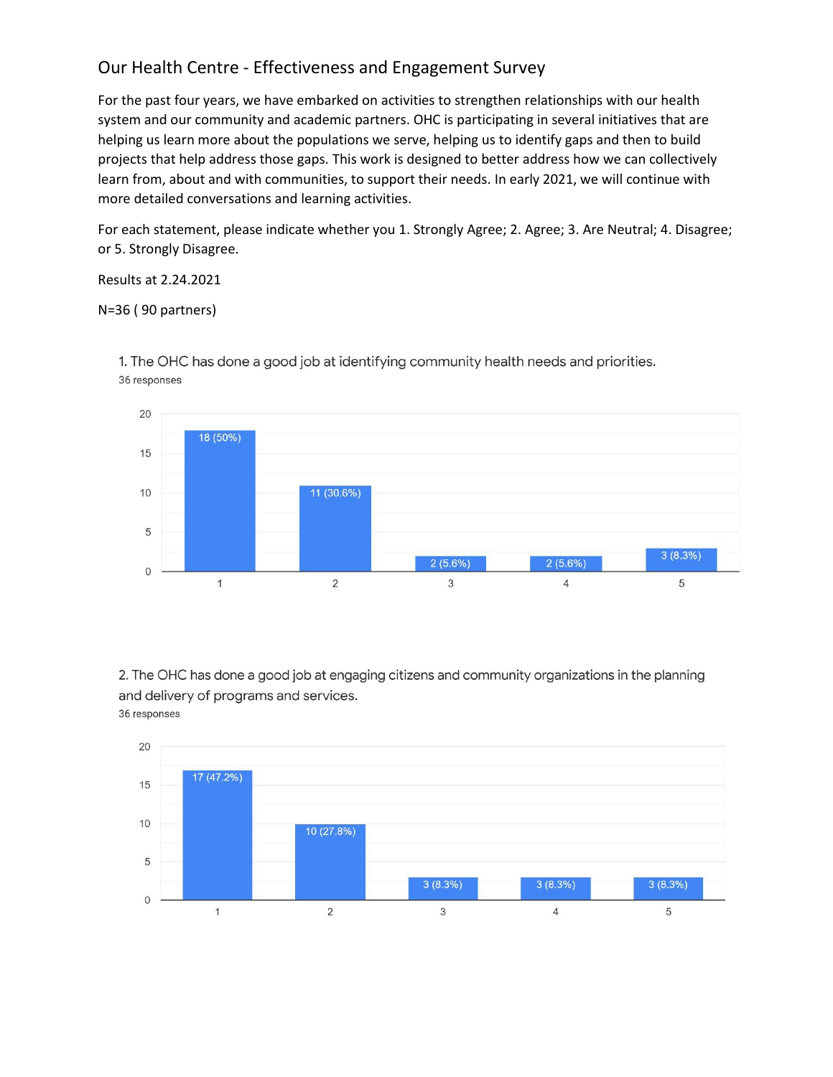## Our Health Centre - Effectiveness and Engagement Survey

For the past four years, we have embarked on activities to strengthen relationships with our health system and our community and academic partners. OHC is participating in several initiatives that are helping us learn more about the populations we serve, helping us to identify gaps and then to build projects that help address those gaps. This work is designed to better address how we can collectively learn from, about and with communities, to support their needs. In early 2021, we will continue with more detailed conversations and learning activities.

For each statement, please indicate whether you 1. Strongly Agree; 2. Agree; 3. Are Neutral; 4. Disagree; or 5. Strongly Disagree.

Results at 2.24.2021

N=36 ( 90 partners)



1. The OHC has done a good job at identifying community health needs and priorities. 36 responses

2. The OHC has done a good job at engaging citizens and community organizations in the planning and delivery of programs and services. 36 responses

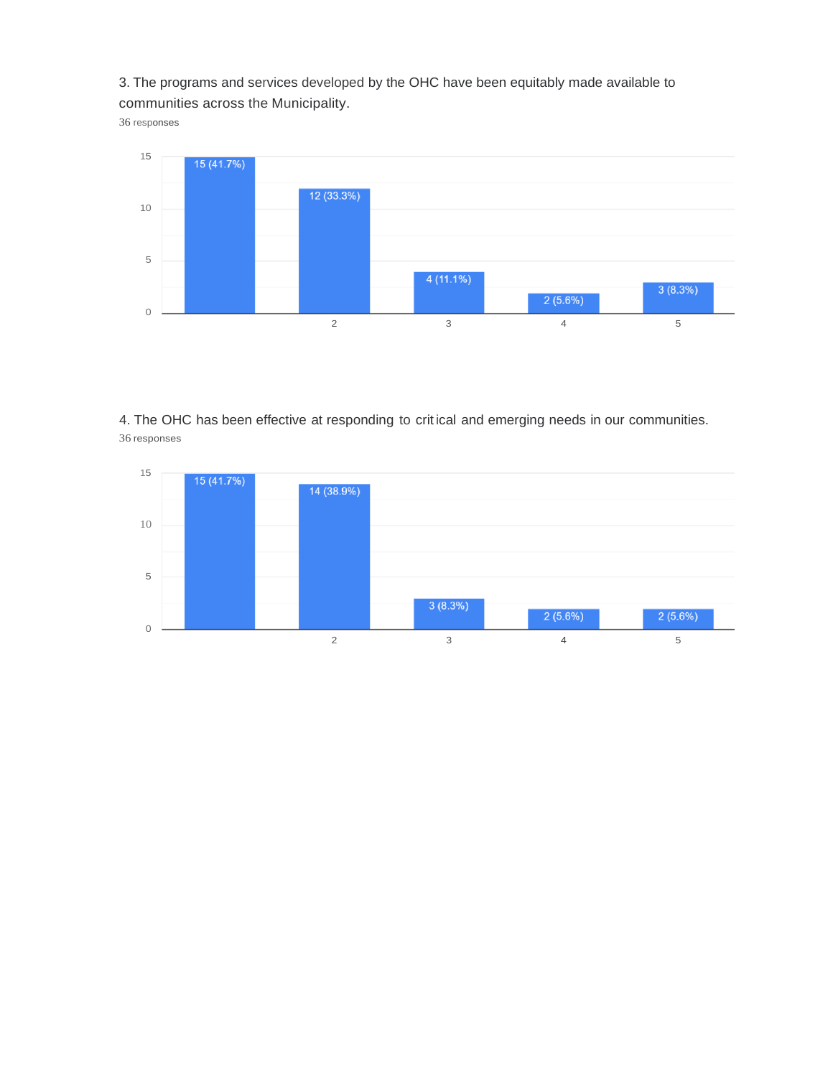3. The programs and services developed by the OHC have been equitably made available to communities across the Municipality.

responses



4. The OHC has been effective at responding to crit ical and emerging needs in our communities. responses

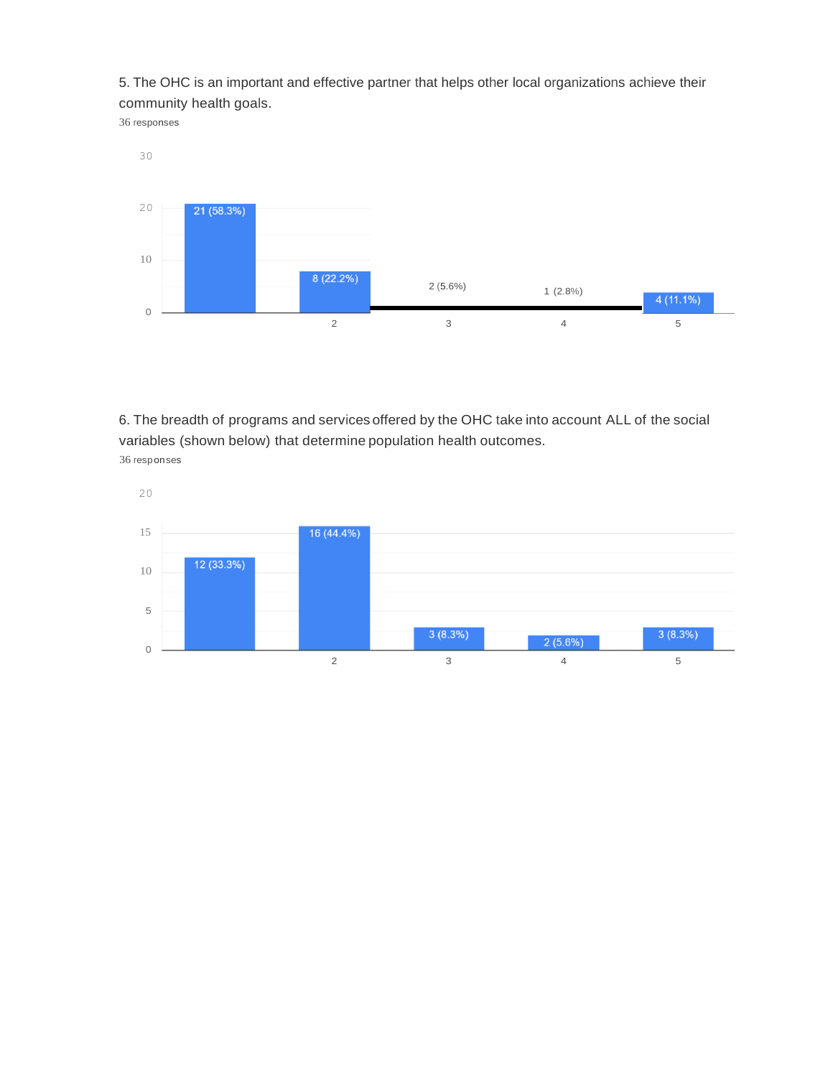5. The OHC is an important and effective partner that helps other local organizations achieve their community health goals.

responses



6. The breadth of programs and services offered by the OHC take into account ALL of the social variables (shown below) that determine population health outcomes. responses

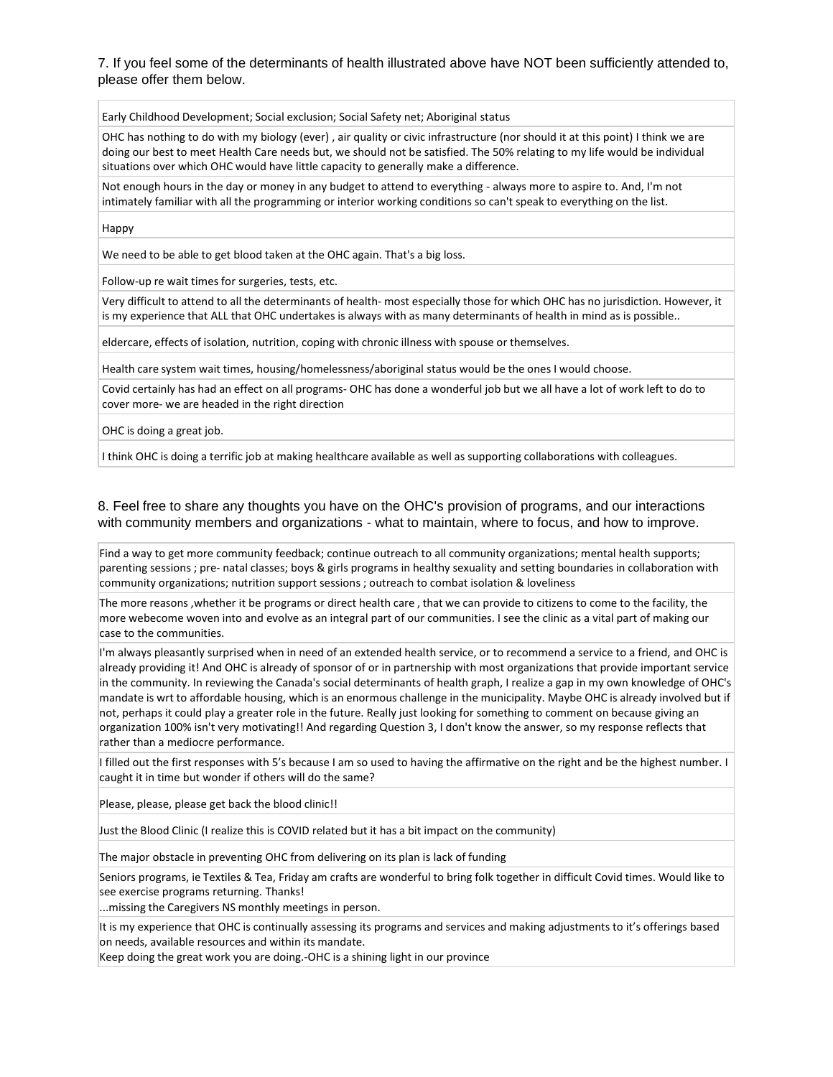## 7. If you feel some of the determinants of health illustrated above have NOT been sufficiently attended to, please offer them below.

Early Childhood Development; Social exclusion; Social Safety net; Aboriginal status

OHC has nothing to do with my biology (ever) , air quality or civic infrastructure (nor should it at this point) I think we are doing our best to meet Health Care needs but, we should not be satisfied. The 50% relating to my life would be individual situations over which OHC would have little capacity to generally make a difference.

Not enough hours in the day or money in any budget to attend to everything - always more to aspire to. And, I'm not intimately familiar with all the programming or interior working conditions so can't speak to everything on the list.

Happy

We need to be able to get blood taken at the OHC again. That's a big loss.

Follow-up re wait times for surgeries, tests, etc.

Very difficult to attend to all the determinants of health- most especially those for which OHC has no jurisdiction. However, it is my experience that ALL that OHC undertakes is always with as many determinants of health in mind as is possible..

eldercare, effects of isolation, nutrition, coping with chronic illness with spouse or themselves.

Health care system wait times, housing/homelessness/aboriginal status would be the ones I would choose.

Covid certainly has had an effect on all programs- OHC has done a wonderful job but we all have a lot of work left to do to cover more- we are headed in the right direction

OHC is doing a great job.

I think OHC is doing a terrific job at making healthcare available as well as supporting collaborations with colleagues.

8. Feel free to share any thoughts you have on the OHC's provision of programs, and our interactions with community members and organizations - what to maintain, where to focus, and how to improve.

Find a way to get more community feedback; continue outreach to all community organizations; mental health supports; parenting sessions ; pre- natal classes; boys & girls programs in healthy sexuality and setting boundaries in collaboration with community organizations; nutrition support sessions ; outreach to combat isolation & loveliness

The more reasons ,whether it be programs or direct health care , that we can provide to citizens to come to the facility, the more webecome woven into and evolve as an integral part of our communities. I see the clinic as a vital part of making our case to the communities.

I'm always pleasantly surprised when in need of an extended health service, or to recommend a service to a friend, and OHC is already providing it! And OHC is already of sponsor of or in partnership with most organizations that provide important service in the community. In reviewing the Canada's social determinants of health graph, I realize a gap in my own knowledge of OHC's mandate is wrt to affordable housing, which is an enormous challenge in the municipality. Maybe OHC is already involved but if not, perhaps it could play a greater role in the future. Really just looking for something to comment on because giving an organization 100% isn't very motivating!! And regarding Question 3, I don't know the answer, so my response reflects that rather than a mediocre performance.

I filled out the first responses with 5's because I am so used to having the affirmative on the right and be the highest number. I caught it in time but wonder if others will do the same?

Please, please, please get back the blood clinic!!

Just the Blood Clinic (I realize this is COVID related but it has a bit impact on the community)

The major obstacle in preventing OHC from delivering on its plan is lack of funding

Seniors programs, ie Textiles & Tea, Friday am crafts are wonderful to bring folk together in difficult Covid times. Would like to see exercise programs returning. Thanks!

...missing the Caregivers NS monthly meetings in person.

It is my experience that OHC is continually assessing its programs and services and making adjustments to it's offerings based on needs, available resources and within its mandate.

Keep doing the great work you are doing.-OHC is a shining light in our province